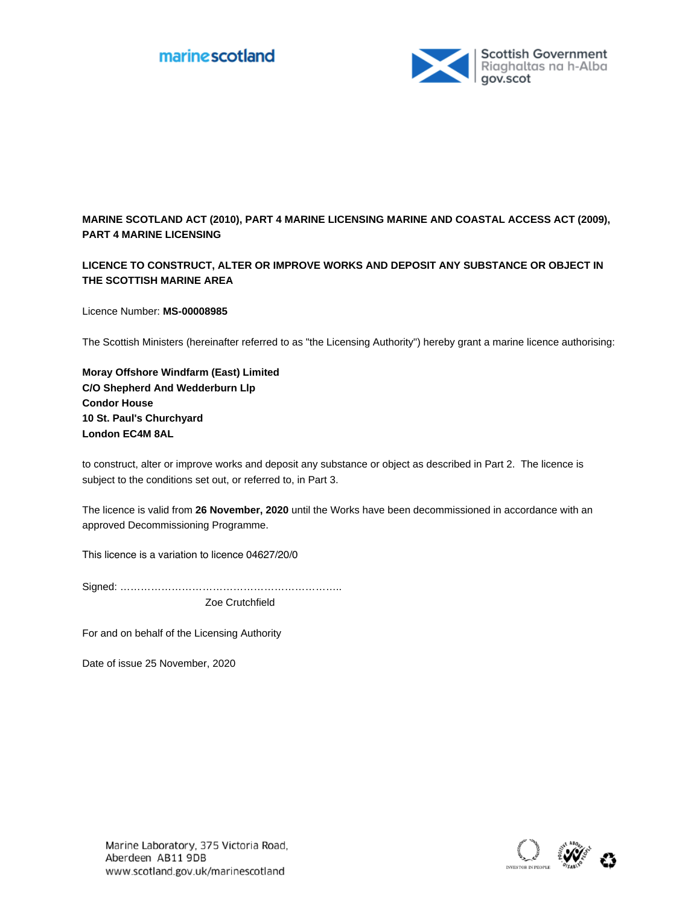

# **MARINE SCOTLAND ACT (2010), PART 4 MARINE LICENSING MARINE AND COASTAL ACCESS ACT (2009), PART 4 MARINE LICENSING**

# **LICENCE TO CONSTRUCT, ALTER OR IMPROVE WORKS AND DEPOSIT ANY SUBSTANCE OR OBJECT IN THE SCOTTISH MARINE AREA**

Licence Number: **MS-00008985**

The Scottish Ministers (hereinafter referred to as "the Licensing Authority") hereby grant a marine licence authorising:

**Moray Offshore Windfarm (East) Limited C/O Shepherd And Wedderburn Llp Condor House 10 St. Paul's Churchyard London EC4M 8AL**

to construct, alter or improve works and deposit any substance or object as described in Part 2. The licence is subject to the conditions set out, or referred to, in Part 3.

The licence is valid from **26 November, 2020** until the Works have been decommissioned in accordance with an approved Decommissioning Programme.

This licence is a variation to licence 04627/20/0

Signed: ………………………………………………………..

Zoe Crutchfield

For and on behalf of the Licensing Authority

Date of issue 25 November, 2020

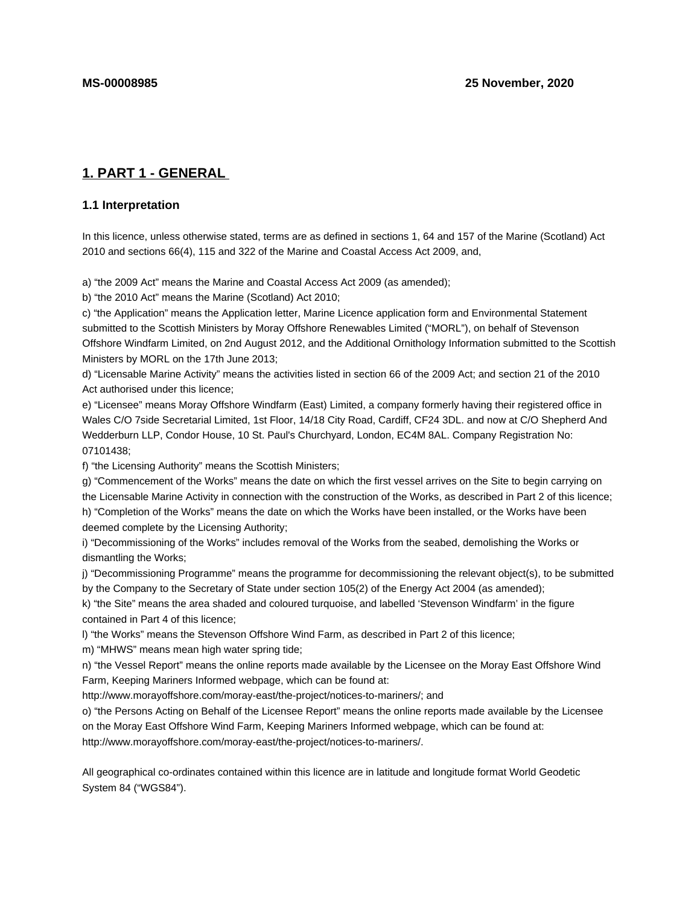# **1. PART 1 - GENERAL**

# **1.1 Interpretation**

In this licence, unless otherwise stated, terms are as defined in sections 1, 64 and 157 of the Marine (Scotland) Act 2010 and sections 66(4), 115 and 322 of the Marine and Coastal Access Act 2009, and,

a) "the 2009 Act" means the Marine and Coastal Access Act 2009 (as amended);

b) "the 2010 Act" means the Marine (Scotland) Act 2010;

c) "the Application" means the Application letter, Marine Licence application form and Environmental Statement submitted to the Scottish Ministers by Moray Offshore Renewables Limited ("MORL"), on behalf of Stevenson Offshore Windfarm Limited, on 2nd August 2012, and the Additional Ornithology Information submitted to the Scottish Ministers by MORL on the 17th June 2013;

d) "Licensable Marine Activity" means the activities listed in section 66 of the 2009 Act; and section 21 of the 2010 Act authorised under this licence;

e) "Licensee" means Moray Offshore Windfarm (East) Limited, a company formerly having their registered office in Wales C/O 7side Secretarial Limited, 1st Floor, 14/18 City Road, Cardiff, CF24 3DL. and now at C/O Shepherd And Wedderburn LLP, Condor House, 10 St. Paul's Churchyard, London, EC4M 8AL. Company Registration No: 07101438;

f) "the Licensing Authority" means the Scottish Ministers;

g) "Commencement of the Works" means the date on which the first vessel arrives on the Site to begin carrying on the Licensable Marine Activity in connection with the construction of the Works, as described in Part 2 of this licence; h) "Completion of the Works" means the date on which the Works have been installed, or the Works have been deemed complete by the Licensing Authority;

i) "Decommissioning of the Works" includes removal of the Works from the seabed, demolishing the Works or dismantling the Works;

j) "Decommissioning Programme" means the programme for decommissioning the relevant object(s), to be submitted by the Company to the Secretary of State under section 105(2) of the Energy Act 2004 (as amended);

k) "the Site" means the area shaded and coloured turquoise, and labelled 'Stevenson Windfarm' in the figure contained in Part 4 of this licence;

l) "the Works" means the Stevenson Offshore Wind Farm, as described in Part 2 of this licence;

m) "MHWS" means mean high water spring tide;

n) "the Vessel Report" means the online reports made available by the Licensee on the Moray East Offshore Wind Farm, Keeping Mariners Informed webpage, which can be found at:

http://www.morayoffshore.com/moray-east/the-project/notices-to-mariners/; and

o) "the Persons Acting on Behalf of the Licensee Report" means the online reports made available by the Licensee on the Moray East Offshore Wind Farm, Keeping Mariners Informed webpage, which can be found at: http://www.morayoffshore.com/moray-east/the-project/notices-to-mariners/.

All geographical co-ordinates contained within this licence are in latitude and longitude format World Geodetic System 84 ("WGS84").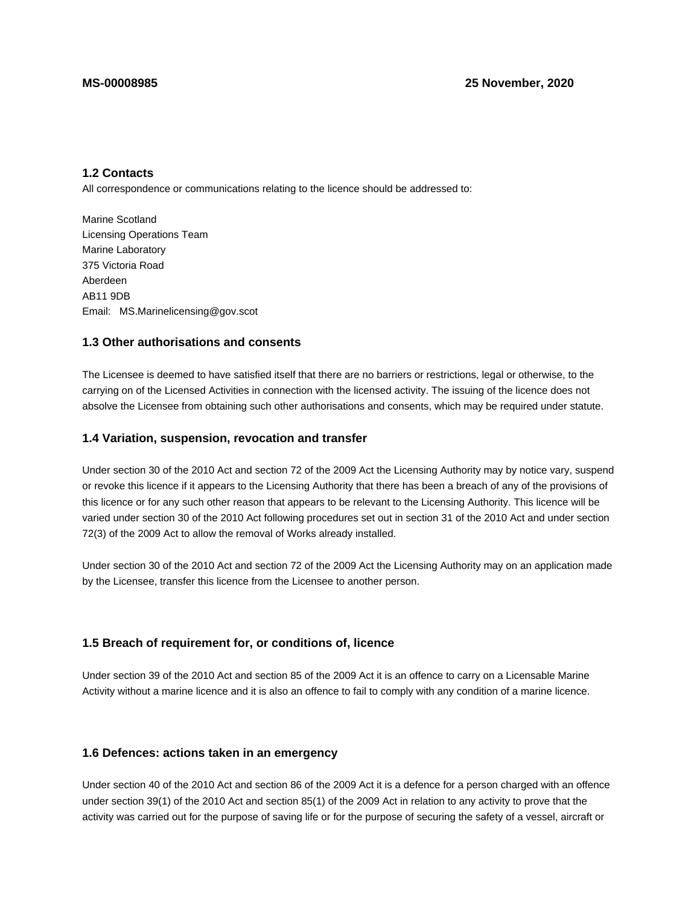# **1.2 Contacts**

All correspondence or communications relating to the licence should be addressed to:

Marine Scotland Licensing Operations Team Marine Laboratory 375 Victoria Road Aberdeen AB11 9DB Email: MS.Marinelicensing@gov.scot

# **1.3 Other authorisations and consents**

The Licensee is deemed to have satisfied itself that there are no barriers or restrictions, legal or otherwise, to the carrying on of the Licensed Activities in connection with the licensed activity. The issuing of the licence does not absolve the Licensee from obtaining such other authorisations and consents, which may be required under statute.

# **1.4 Variation, suspension, revocation and transfer**

Under section 30 of the 2010 Act and section 72 of the 2009 Act the Licensing Authority may by notice vary, suspend or revoke this licence if it appears to the Licensing Authority that there has been a breach of any of the provisions of this licence or for any such other reason that appears to be relevant to the Licensing Authority. This licence will be varied under section 30 of the 2010 Act following procedures set out in section 31 of the 2010 Act and under section 72(3) of the 2009 Act to allow the removal of Works already installed.

Under section 30 of the 2010 Act and section 72 of the 2009 Act the Licensing Authority may on an application made by the Licensee, transfer this licence from the Licensee to another person.

# **1.5 Breach of requirement for, or conditions of, licence**

Under section 39 of the 2010 Act and section 85 of the 2009 Act it is an offence to carry on a Licensable Marine Activity without a marine licence and it is also an offence to fail to comply with any condition of a marine licence.

# **1.6 Defences: actions taken in an emergency**

Under section 40 of the 2010 Act and section 86 of the 2009 Act it is a defence for a person charged with an offence under section 39(1) of the 2010 Act and section 85(1) of the 2009 Act in relation to any activity to prove that the activity was carried out for the purpose of saving life or for the purpose of securing the safety of a vessel, aircraft or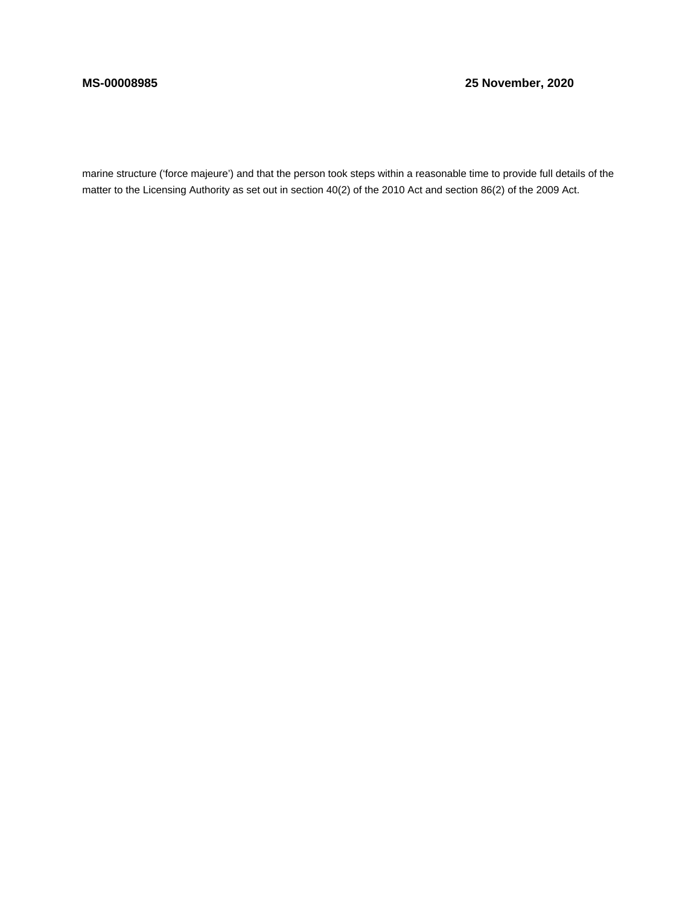# **MS-00008985 25 November, 2020**

marine structure ('force majeure') and that the person took steps within a reasonable time to provide full details of the matter to the Licensing Authority as set out in section 40(2) of the 2010 Act and section 86(2) of the 2009 Act.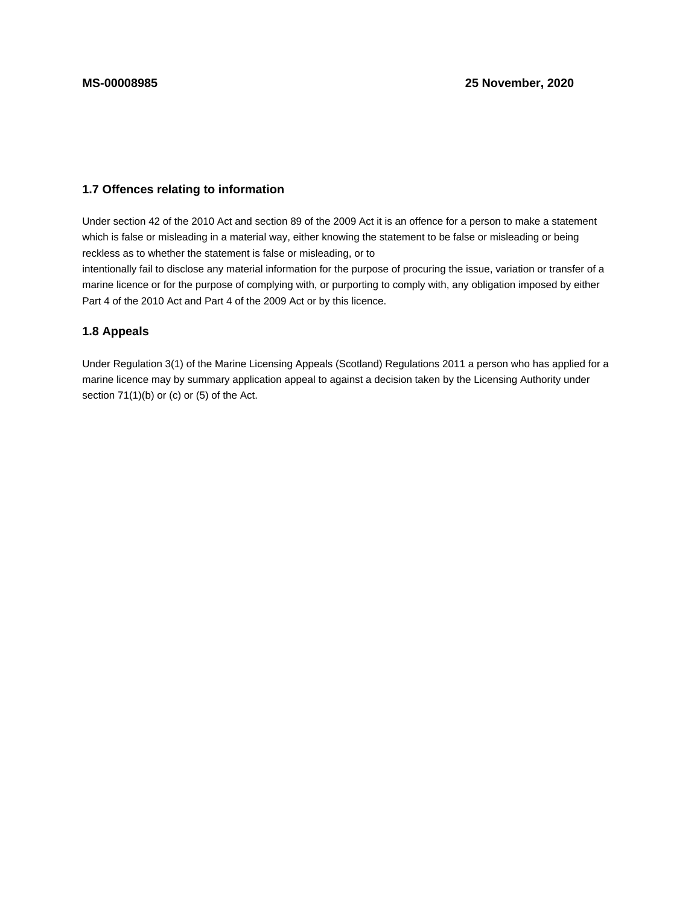# **1.7 Offences relating to information**

Under section 42 of the 2010 Act and section 89 of the 2009 Act it is an offence for a person to make a statement which is false or misleading in a material way, either knowing the statement to be false or misleading or being reckless as to whether the statement is false or misleading, or to

intentionally fail to disclose any material information for the purpose of procuring the issue, variation or transfer of a marine licence or for the purpose of complying with, or purporting to comply with, any obligation imposed by either Part 4 of the 2010 Act and Part 4 of the 2009 Act or by this licence.

# **1.8 Appeals**

Under Regulation 3(1) of the Marine Licensing Appeals (Scotland) Regulations 2011 a person who has applied for a marine licence may by summary application appeal to against a decision taken by the Licensing Authority under section  $71(1)(b)$  or (c) or (5) of the Act.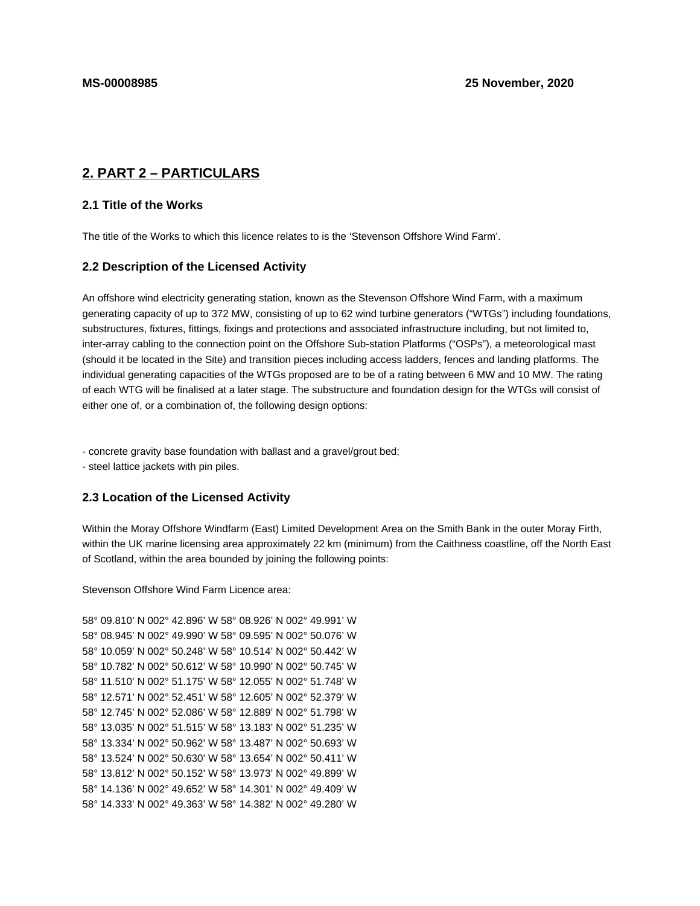# **2. PART 2 – PARTICULARS**

# **2.1 Title of the Works**

The title of the Works to which this licence relates to is the 'Stevenson Offshore Wind Farm'.

# **2.2 Description of the Licensed Activity**

An offshore wind electricity generating station, known as the Stevenson Offshore Wind Farm, with a maximum generating capacity of up to 372 MW, consisting of up to 62 wind turbine generators ("WTGs") including foundations, substructures, fixtures, fittings, fixings and protections and associated infrastructure including, but not limited to, inter-array cabling to the connection point on the Offshore Sub-station Platforms ("OSPs"), a meteorological mast (should it be located in the Site) and transition pieces including access ladders, fences and landing platforms. The individual generating capacities of the WTGs proposed are to be of a rating between 6 MW and 10 MW. The rating of each WTG will be finalised at a later stage. The substructure and foundation design for the WTGs will consist of either one of, or a combination of, the following design options:

- concrete gravity base foundation with ballast and a gravel/grout bed;

- steel lattice jackets with pin piles.

# **2.3 Location of the Licensed Activity**

Within the Moray Offshore Windfarm (East) Limited Development Area on the Smith Bank in the outer Moray Firth, within the UK marine licensing area approximately 22 km (minimum) from the Caithness coastline, off the North East of Scotland, within the area bounded by joining the following points:

Stevenson Offshore Wind Farm Licence area:

```
58° 09.810' N 002° 42.896' W 58° 08.926' N 002° 49.991' W
58° 08.945' N 002° 49.990' W 58° 09.595' N 002° 50.076' W
58° 10.059' N 002° 50.248' W 58° 10.514' N 002° 50.442' W
58° 10.782' N 002° 50.612' W 58° 10.990' N 002° 50.745' W
58° 11.510' N 002° 51.175' W 58° 12.055' N 002° 51.748' W
58° 12.571' N 002° 52.451' W 58° 12.605' N 002° 52.379' W
58° 12.745' N 002° 52.086' W 58° 12.889' N 002° 51.798' W
58° 13.035' N 002° 51.515' W 58° 13.183' N 002° 51.235' W
58° 13.334' N 002° 50.962' W 58° 13.487' N 002° 50.693' W
58° 13.524' N 002° 50.630' W 58° 13.654' N 002° 50.411' W
58° 13.812' N 002° 50.152' W 58° 13.973' N 002° 49.899' W
58° 14.136' N 002° 49.652' W 58° 14.301' N 002° 49.409' W
58° 14.333' N 002° 49.363' W 58° 14.382' N 002° 49.280' W
```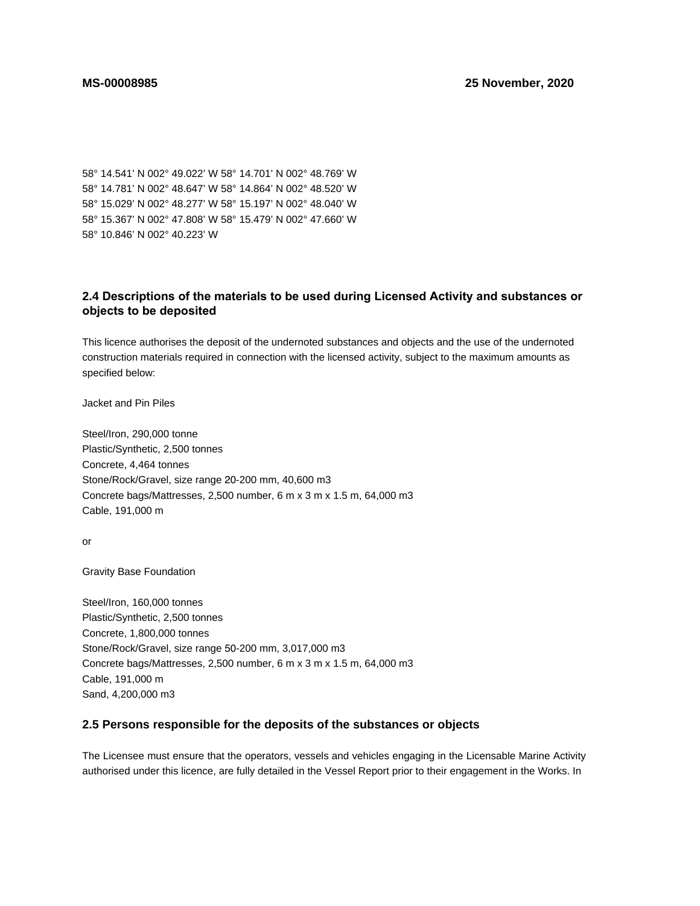58° 14.541' N 002° 49.022' W 58° 14.701' N 002° 48.769' W 58° 14.781' N 002° 48.647' W 58° 14.864' N 002° 48.520' W 58° 15.029' N 002° 48.277' W 58° 15.197' N 002° 48.040' W 58° 15.367' N 002° 47.808' W 58° 15.479' N 002° 47.660' W 58° 10.846' N 002° 40.223' W

# **2.4 Descriptions of the materials to be used during Licensed Activity and substances or objects to be deposited**

This licence authorises the deposit of the undernoted substances and objects and the use of the undernoted construction materials required in connection with the licensed activity, subject to the maximum amounts as specified below:

Jacket and Pin Piles

Steel/Iron, 290,000 tonne Plastic/Synthetic, 2,500 tonnes Concrete, 4,464 tonnes Stone/Rock/Gravel, size range 20-200 mm, 40,600 m3 Concrete bags/Mattresses, 2,500 number, 6 m x 3 m x 1.5 m, 64,000 m3 Cable, 191,000 m

or

Gravity Base Foundation

Steel/Iron, 160,000 tonnes Plastic/Synthetic, 2,500 tonnes Concrete, 1,800,000 tonnes Stone/Rock/Gravel, size range 50-200 mm, 3,017,000 m3 Concrete bags/Mattresses, 2,500 number, 6 m x 3 m x 1.5 m, 64,000 m3 Cable, 191,000 m Sand, 4,200,000 m3

# **2.5 Persons responsible for the deposits of the substances or objects**

The Licensee must ensure that the operators, vessels and vehicles engaging in the Licensable Marine Activity authorised under this licence, are fully detailed in the Vessel Report prior to their engagement in the Works. In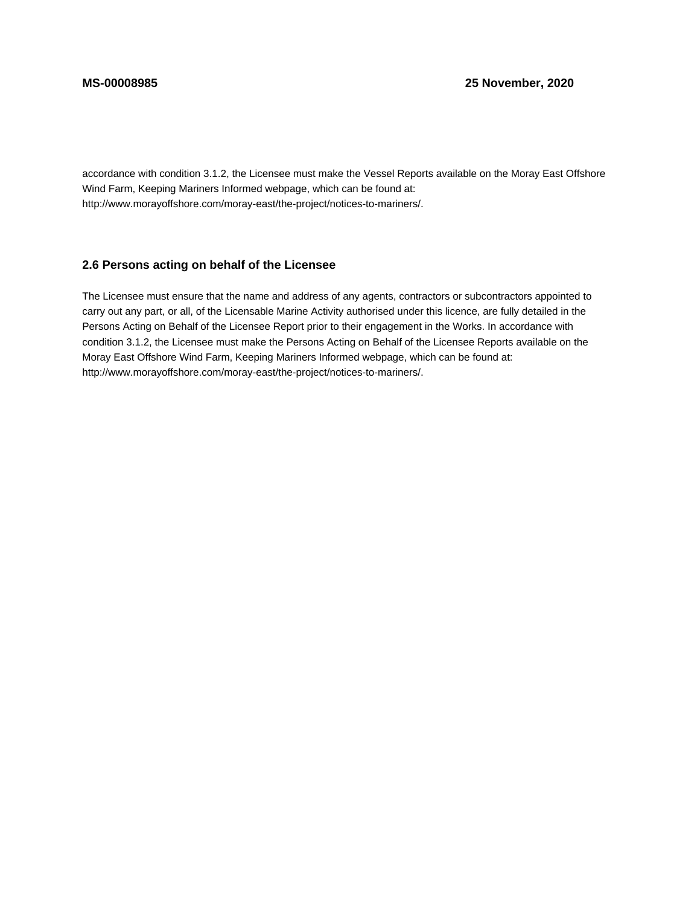accordance with condition 3.1.2, the Licensee must make the Vessel Reports available on the Moray East Offshore Wind Farm, Keeping Mariners Informed webpage, which can be found at: http://www.morayoffshore.com/moray-east/the-project/notices-to-mariners/.

# **2.6 Persons acting on behalf of the Licensee**

The Licensee must ensure that the name and address of any agents, contractors or subcontractors appointed to carry out any part, or all, of the Licensable Marine Activity authorised under this licence, are fully detailed in the Persons Acting on Behalf of the Licensee Report prior to their engagement in the Works. In accordance with condition 3.1.2, the Licensee must make the Persons Acting on Behalf of the Licensee Reports available on the Moray East Offshore Wind Farm, Keeping Mariners Informed webpage, which can be found at: http://www.morayoffshore.com/moray-east/the-project/notices-to-mariners/.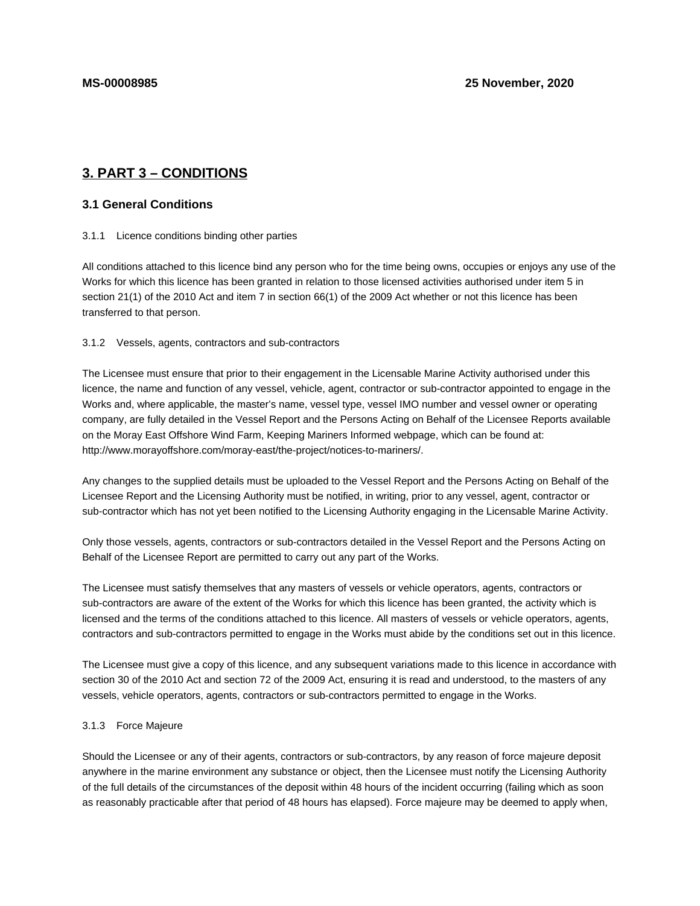# **3. PART 3 – CONDITIONS**

# **3.1 General Conditions**

### 3.1.1 Licence conditions binding other parties

All conditions attached to this licence bind any person who for the time being owns, occupies or enjoys any use of the Works for which this licence has been granted in relation to those licensed activities authorised under item 5 in section 21(1) of the 2010 Act and item 7 in section 66(1) of the 2009 Act whether or not this licence has been transferred to that person.

### 3.1.2 Vessels, agents, contractors and sub-contractors

The Licensee must ensure that prior to their engagement in the Licensable Marine Activity authorised under this licence, the name and function of any vessel, vehicle, agent, contractor or sub-contractor appointed to engage in the Works and, where applicable, the master's name, vessel type, vessel IMO number and vessel owner or operating company, are fully detailed in the Vessel Report and the Persons Acting on Behalf of the Licensee Reports available on the Moray East Offshore Wind Farm, Keeping Mariners Informed webpage, which can be found at: http://www.morayoffshore.com/moray-east/the-project/notices-to-mariners/.

Any changes to the supplied details must be uploaded to the Vessel Report and the Persons Acting on Behalf of the Licensee Report and the Licensing Authority must be notified, in writing, prior to any vessel, agent, contractor or sub-contractor which has not yet been notified to the Licensing Authority engaging in the Licensable Marine Activity.

Only those vessels, agents, contractors or sub-contractors detailed in the Vessel Report and the Persons Acting on Behalf of the Licensee Report are permitted to carry out any part of the Works.

The Licensee must satisfy themselves that any masters of vessels or vehicle operators, agents, contractors or sub-contractors are aware of the extent of the Works for which this licence has been granted, the activity which is licensed and the terms of the conditions attached to this licence. All masters of vessels or vehicle operators, agents, contractors and sub-contractors permitted to engage in the Works must abide by the conditions set out in this licence.

The Licensee must give a copy of this licence, and any subsequent variations made to this licence in accordance with section 30 of the 2010 Act and section 72 of the 2009 Act, ensuring it is read and understood, to the masters of any vessels, vehicle operators, agents, contractors or sub-contractors permitted to engage in the Works.

### 3.1.3 Force Majeure

Should the Licensee or any of their agents, contractors or sub-contractors, by any reason of force majeure deposit anywhere in the marine environment any substance or object, then the Licensee must notify the Licensing Authority of the full details of the circumstances of the deposit within 48 hours of the incident occurring (failing which as soon as reasonably practicable after that period of 48 hours has elapsed). Force majeure may be deemed to apply when,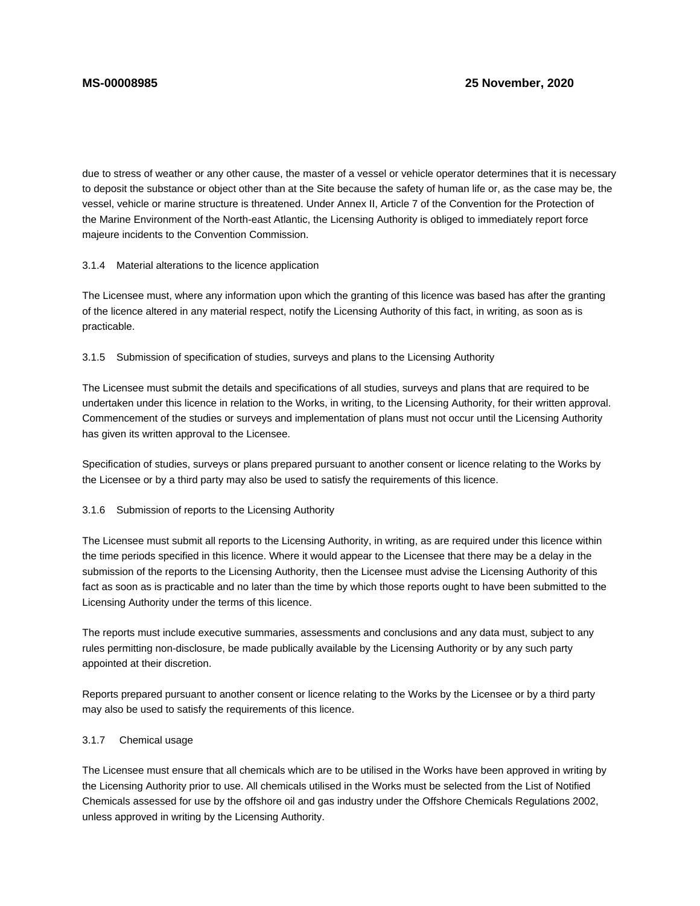due to stress of weather or any other cause, the master of a vessel or vehicle operator determines that it is necessary to deposit the substance or object other than at the Site because the safety of human life or, as the case may be, the vessel, vehicle or marine structure is threatened. Under Annex II, Article 7 of the Convention for the Protection of the Marine Environment of the North-east Atlantic, the Licensing Authority is obliged to immediately report force majeure incidents to the Convention Commission.

# 3.1.4 Material alterations to the licence application

The Licensee must, where any information upon which the granting of this licence was based has after the granting of the licence altered in any material respect, notify the Licensing Authority of this fact, in writing, as soon as is practicable.

# 3.1.5 Submission of specification of studies, surveys and plans to the Licensing Authority

The Licensee must submit the details and specifications of all studies, surveys and plans that are required to be undertaken under this licence in relation to the Works, in writing, to the Licensing Authority, for their written approval. Commencement of the studies or surveys and implementation of plans must not occur until the Licensing Authority has given its written approval to the Licensee.

Specification of studies, surveys or plans prepared pursuant to another consent or licence relating to the Works by the Licensee or by a third party may also be used to satisfy the requirements of this licence.

# 3.1.6 Submission of reports to the Licensing Authority

The Licensee must submit all reports to the Licensing Authority, in writing, as are required under this licence within the time periods specified in this licence. Where it would appear to the Licensee that there may be a delay in the submission of the reports to the Licensing Authority, then the Licensee must advise the Licensing Authority of this fact as soon as is practicable and no later than the time by which those reports ought to have been submitted to the Licensing Authority under the terms of this licence.

The reports must include executive summaries, assessments and conclusions and any data must, subject to any rules permitting non-disclosure, be made publically available by the Licensing Authority or by any such party appointed at their discretion.

Reports prepared pursuant to another consent or licence relating to the Works by the Licensee or by a third party may also be used to satisfy the requirements of this licence.

# 3.1.7 Chemical usage

The Licensee must ensure that all chemicals which are to be utilised in the Works have been approved in writing by the Licensing Authority prior to use. All chemicals utilised in the Works must be selected from the List of Notified Chemicals assessed for use by the offshore oil and gas industry under the Offshore Chemicals Regulations 2002, unless approved in writing by the Licensing Authority.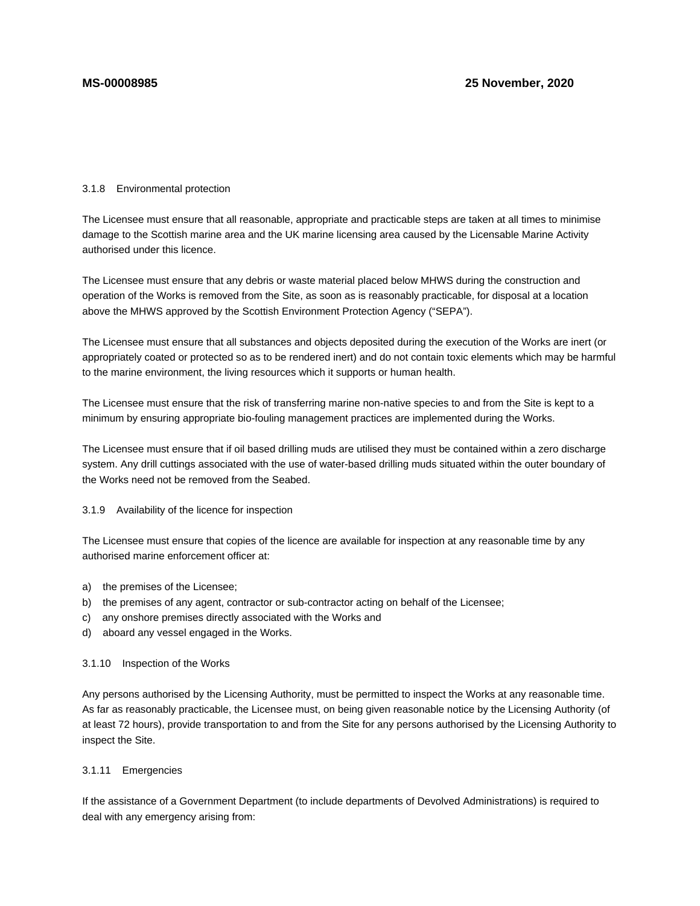### 3.1.8 Environmental protection

The Licensee must ensure that all reasonable, appropriate and practicable steps are taken at all times to minimise damage to the Scottish marine area and the UK marine licensing area caused by the Licensable Marine Activity authorised under this licence.

The Licensee must ensure that any debris or waste material placed below MHWS during the construction and operation of the Works is removed from the Site, as soon as is reasonably practicable, for disposal at a location above the MHWS approved by the Scottish Environment Protection Agency ("SEPA").

The Licensee must ensure that all substances and objects deposited during the execution of the Works are inert (or appropriately coated or protected so as to be rendered inert) and do not contain toxic elements which may be harmful to the marine environment, the living resources which it supports or human health.

The Licensee must ensure that the risk of transferring marine non-native species to and from the Site is kept to a minimum by ensuring appropriate bio-fouling management practices are implemented during the Works.

The Licensee must ensure that if oil based drilling muds are utilised they must be contained within a zero discharge system. Any drill cuttings associated with the use of water-based drilling muds situated within the outer boundary of the Works need not be removed from the Seabed.

### 3.1.9 Availability of the licence for inspection

The Licensee must ensure that copies of the licence are available for inspection at any reasonable time by any authorised marine enforcement officer at:

- a) the premises of the Licensee;
- b) the premises of any agent, contractor or sub-contractor acting on behalf of the Licensee;
- c) any onshore premises directly associated with the Works and
- d) aboard any vessel engaged in the Works.

### 3.1.10 Inspection of the Works

Any persons authorised by the Licensing Authority, must be permitted to inspect the Works at any reasonable time. As far as reasonably practicable, the Licensee must, on being given reasonable notice by the Licensing Authority (of at least 72 hours), provide transportation to and from the Site for any persons authorised by the Licensing Authority to inspect the Site.

### 3.1.11 Emergencies

If the assistance of a Government Department (to include departments of Devolved Administrations) is required to deal with any emergency arising from: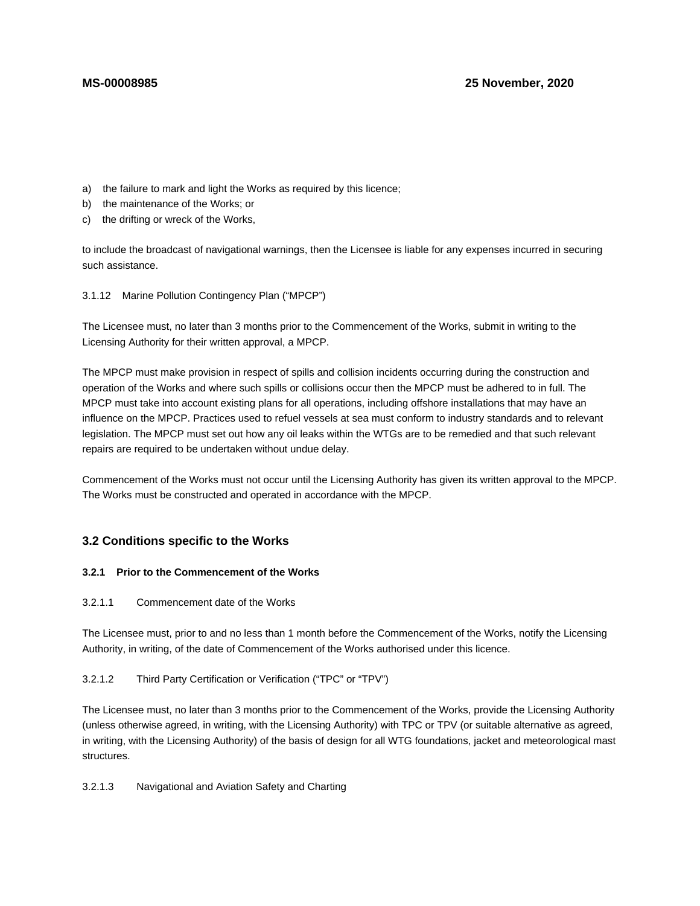- a) the failure to mark and light the Works as required by this licence;
- b) the maintenance of the Works; or
- c) the drifting or wreck of the Works,

to include the broadcast of navigational warnings, then the Licensee is liable for any expenses incurred in securing such assistance.

3.1.12 Marine Pollution Contingency Plan ("MPCP")

The Licensee must, no later than 3 months prior to the Commencement of the Works, submit in writing to the Licensing Authority for their written approval, a MPCP.

The MPCP must make provision in respect of spills and collision incidents occurring during the construction and operation of the Works and where such spills or collisions occur then the MPCP must be adhered to in full. The MPCP must take into account existing plans for all operations, including offshore installations that may have an influence on the MPCP. Practices used to refuel vessels at sea must conform to industry standards and to relevant legislation. The MPCP must set out how any oil leaks within the WTGs are to be remedied and that such relevant repairs are required to be undertaken without undue delay.

Commencement of the Works must not occur until the Licensing Authority has given its written approval to the MPCP. The Works must be constructed and operated in accordance with the MPCP.

# **3.2 Conditions specific to the Works**

# **3.2.1 Prior to the Commencement of the Works**

3.2.1.1 Commencement date of the Works

The Licensee must, prior to and no less than 1 month before the Commencement of the Works, notify the Licensing Authority, in writing, of the date of Commencement of the Works authorised under this licence.

# 3.2.1.2 Third Party Certification or Verification ("TPC" or "TPV")

The Licensee must, no later than 3 months prior to the Commencement of the Works, provide the Licensing Authority (unless otherwise agreed, in writing, with the Licensing Authority) with TPC or TPV (or suitable alternative as agreed, in writing, with the Licensing Authority) of the basis of design for all WTG foundations, jacket and meteorological mast structures.

3.2.1.3 Navigational and Aviation Safety and Charting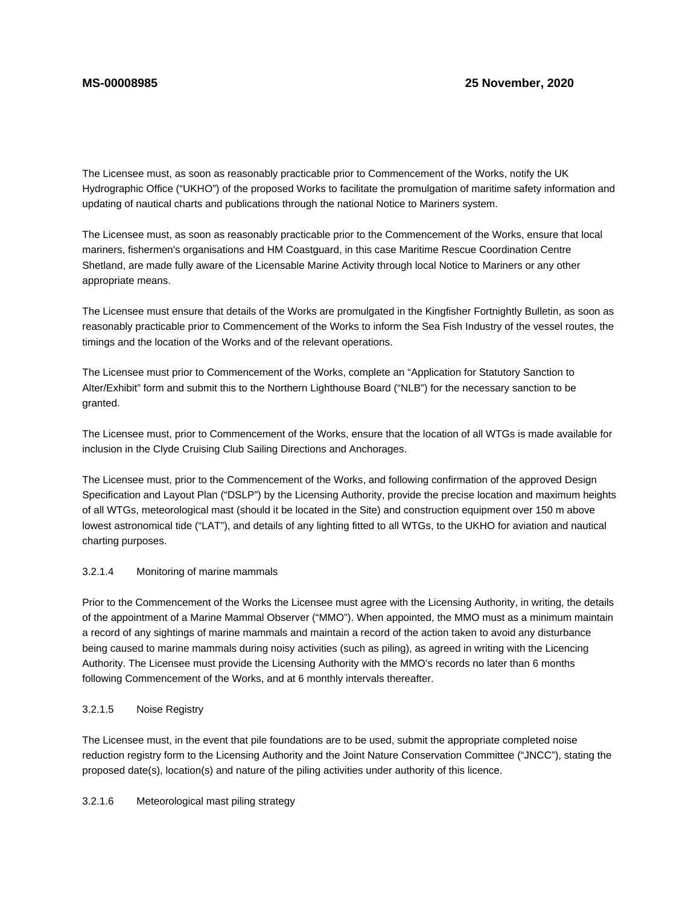The Licensee must, as soon as reasonably practicable prior to Commencement of the Works, notify the UK Hydrographic Office ("UKHO") of the proposed Works to facilitate the promulgation of maritime safety information and updating of nautical charts and publications through the national Notice to Mariners system.

The Licensee must, as soon as reasonably practicable prior to the Commencement of the Works, ensure that local mariners, fishermen's organisations and HM Coastguard, in this case Maritime Rescue Coordination Centre Shetland, are made fully aware of the Licensable Marine Activity through local Notice to Mariners or any other appropriate means.

The Licensee must ensure that details of the Works are promulgated in the Kingfisher Fortnightly Bulletin, as soon as reasonably practicable prior to Commencement of the Works to inform the Sea Fish Industry of the vessel routes, the timings and the location of the Works and of the relevant operations.

The Licensee must prior to Commencement of the Works, complete an "Application for Statutory Sanction to Alter/Exhibit" form and submit this to the Northern Lighthouse Board ("NLB") for the necessary sanction to be granted.

The Licensee must, prior to Commencement of the Works, ensure that the location of all WTGs is made available for inclusion in the Clyde Cruising Club Sailing Directions and Anchorages.

The Licensee must, prior to the Commencement of the Works, and following confirmation of the approved Design Specification and Layout Plan ("DSLP") by the Licensing Authority, provide the precise location and maximum heights of all WTGs, meteorological mast (should it be located in the Site) and construction equipment over 150 m above lowest astronomical tide ("LAT"), and details of any lighting fitted to all WTGs, to the UKHO for aviation and nautical charting purposes.

# 3.2.1.4 Monitoring of marine mammals

Prior to the Commencement of the Works the Licensee must agree with the Licensing Authority, in writing, the details of the appointment of a Marine Mammal Observer ("MMO"). When appointed, the MMO must as a minimum maintain a record of any sightings of marine mammals and maintain a record of the action taken to avoid any disturbance being caused to marine mammals during noisy activities (such as piling), as agreed in writing with the Licencing Authority. The Licensee must provide the Licensing Authority with the MMO's records no later than 6 months following Commencement of the Works, and at 6 monthly intervals thereafter.

# 3.2.1.5 Noise Registry

The Licensee must, in the event that pile foundations are to be used, submit the appropriate completed noise reduction registry form to the Licensing Authority and the Joint Nature Conservation Committee ("JNCC"), stating the proposed date(s), location(s) and nature of the piling activities under authority of this licence.

# 3.2.1.6 Meteorological mast piling strategy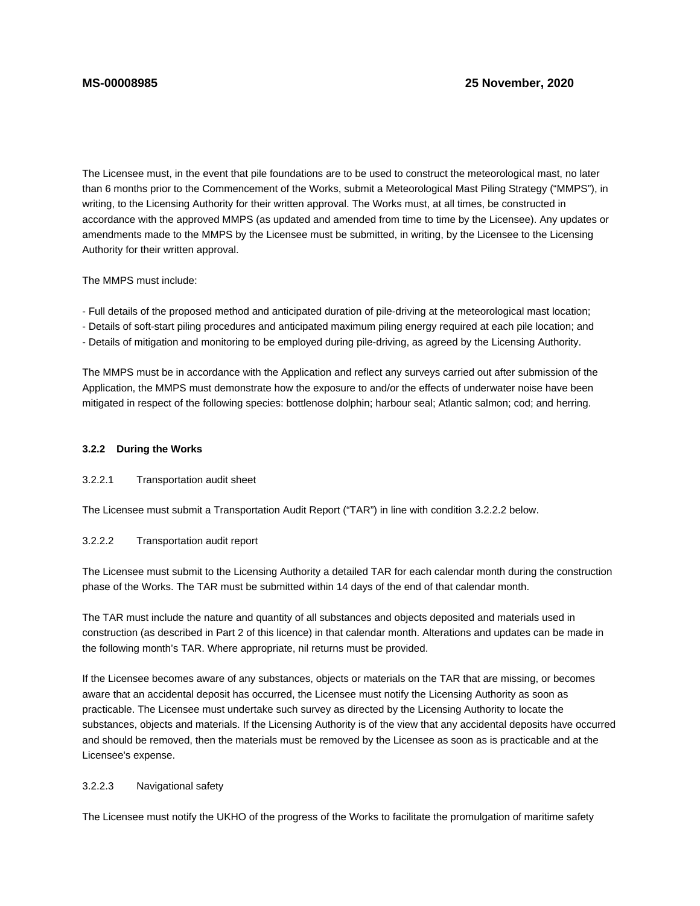The Licensee must, in the event that pile foundations are to be used to construct the meteorological mast, no later than 6 months prior to the Commencement of the Works, submit a Meteorological Mast Piling Strategy ("MMPS"), in writing, to the Licensing Authority for their written approval. The Works must, at all times, be constructed in accordance with the approved MMPS (as updated and amended from time to time by the Licensee). Any updates or amendments made to the MMPS by the Licensee must be submitted, in writing, by the Licensee to the Licensing Authority for their written approval.

The MMPS must include:

- Full details of the proposed method and anticipated duration of pile-driving at the meteorological mast location;

- Details of soft-start piling procedures and anticipated maximum piling energy required at each pile location; and

- Details of mitigation and monitoring to be employed during pile-driving, as agreed by the Licensing Authority.

The MMPS must be in accordance with the Application and reflect any surveys carried out after submission of the Application, the MMPS must demonstrate how the exposure to and/or the effects of underwater noise have been mitigated in respect of the following species: bottlenose dolphin; harbour seal; Atlantic salmon; cod; and herring.

### **3.2.2 During the Works**

# 3.2.2.1 Transportation audit sheet

The Licensee must submit a Transportation Audit Report ("TAR") in line with condition 3.2.2.2 below.

# 3.2.2.2 Transportation audit report

The Licensee must submit to the Licensing Authority a detailed TAR for each calendar month during the construction phase of the Works. The TAR must be submitted within 14 days of the end of that calendar month.

The TAR must include the nature and quantity of all substances and objects deposited and materials used in construction (as described in Part 2 of this licence) in that calendar month. Alterations and updates can be made in the following month's TAR. Where appropriate, nil returns must be provided.

If the Licensee becomes aware of any substances, objects or materials on the TAR that are missing, or becomes aware that an accidental deposit has occurred, the Licensee must notify the Licensing Authority as soon as practicable. The Licensee must undertake such survey as directed by the Licensing Authority to locate the substances, objects and materials. If the Licensing Authority is of the view that any accidental deposits have occurred and should be removed, then the materials must be removed by the Licensee as soon as is practicable and at the Licensee's expense.

# 3.2.2.3 Navigational safety

The Licensee must notify the UKHO of the progress of the Works to facilitate the promulgation of maritime safety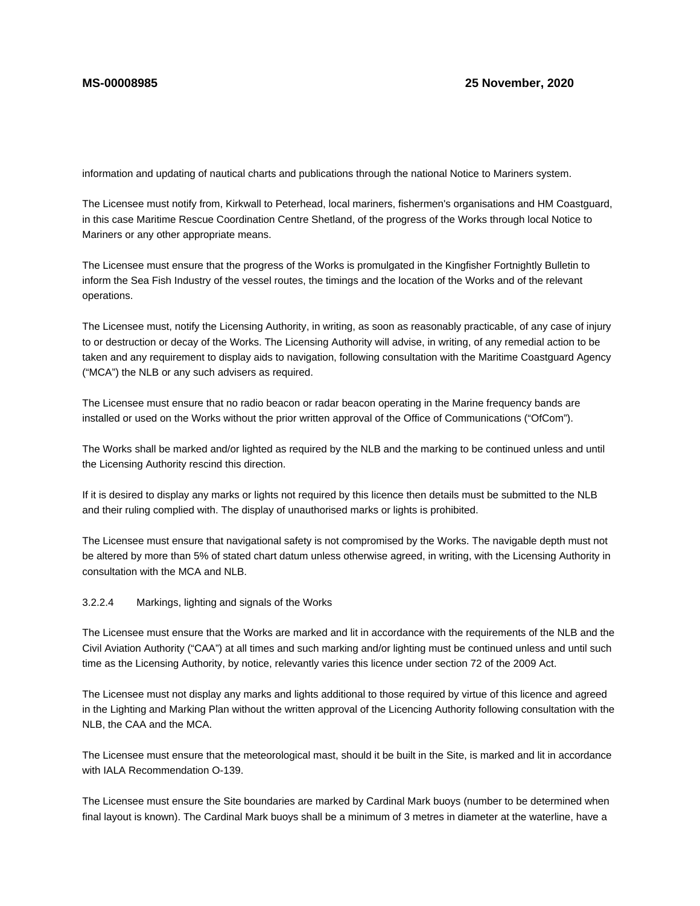information and updating of nautical charts and publications through the national Notice to Mariners system.

The Licensee must notify from, Kirkwall to Peterhead, local mariners, fishermen's organisations and HM Coastguard, in this case Maritime Rescue Coordination Centre Shetland, of the progress of the Works through local Notice to Mariners or any other appropriate means.

The Licensee must ensure that the progress of the Works is promulgated in the Kingfisher Fortnightly Bulletin to inform the Sea Fish Industry of the vessel routes, the timings and the location of the Works and of the relevant operations.

The Licensee must, notify the Licensing Authority, in writing, as soon as reasonably practicable, of any case of injury to or destruction or decay of the Works. The Licensing Authority will advise, in writing, of any remedial action to be taken and any requirement to display aids to navigation, following consultation with the Maritime Coastguard Agency ("MCA") the NLB or any such advisers as required.

The Licensee must ensure that no radio beacon or radar beacon operating in the Marine frequency bands are installed or used on the Works without the prior written approval of the Office of Communications ("OfCom").

The Works shall be marked and/or lighted as required by the NLB and the marking to be continued unless and until the Licensing Authority rescind this direction.

If it is desired to display any marks or lights not required by this licence then details must be submitted to the NLB and their ruling complied with. The display of unauthorised marks or lights is prohibited.

The Licensee must ensure that navigational safety is not compromised by the Works. The navigable depth must not be altered by more than 5% of stated chart datum unless otherwise agreed, in writing, with the Licensing Authority in consultation with the MCA and NLB.

# 3.2.2.4 Markings, lighting and signals of the Works

The Licensee must ensure that the Works are marked and lit in accordance with the requirements of the NLB and the Civil Aviation Authority ("CAA") at all times and such marking and/or lighting must be continued unless and until such time as the Licensing Authority, by notice, relevantly varies this licence under section 72 of the 2009 Act.

The Licensee must not display any marks and lights additional to those required by virtue of this licence and agreed in the Lighting and Marking Plan without the written approval of the Licencing Authority following consultation with the NLB, the CAA and the MCA.

The Licensee must ensure that the meteorological mast, should it be built in the Site, is marked and lit in accordance with IALA Recommendation O-139.

The Licensee must ensure the Site boundaries are marked by Cardinal Mark buoys (number to be determined when final layout is known). The Cardinal Mark buoys shall be a minimum of 3 metres in diameter at the waterline, have a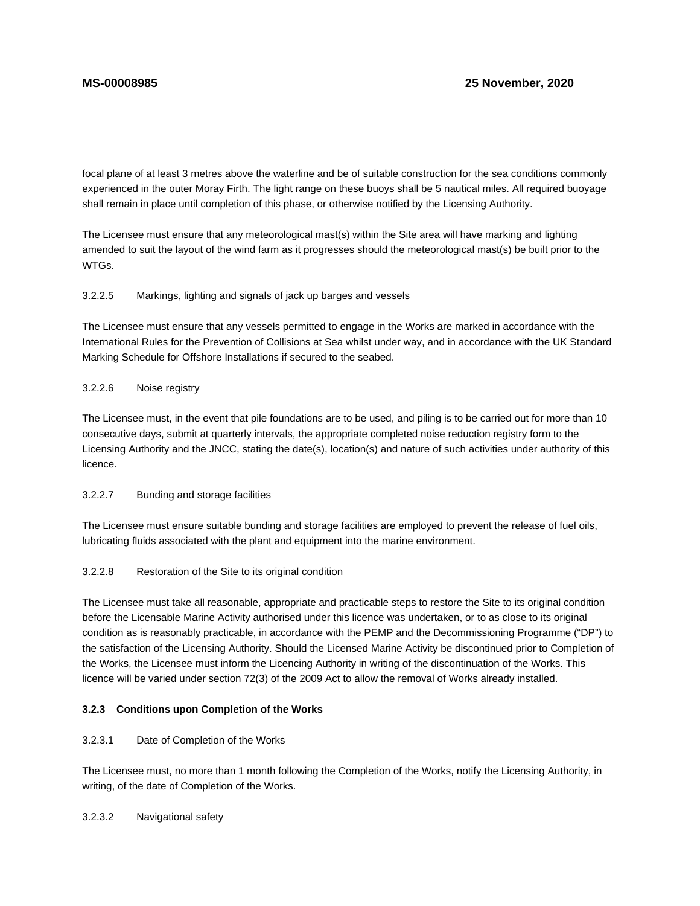focal plane of at least 3 metres above the waterline and be of suitable construction for the sea conditions commonly experienced in the outer Moray Firth. The light range on these buoys shall be 5 nautical miles. All required buoyage shall remain in place until completion of this phase, or otherwise notified by the Licensing Authority.

The Licensee must ensure that any meteorological mast(s) within the Site area will have marking and lighting amended to suit the layout of the wind farm as it progresses should the meteorological mast(s) be built prior to the WTGs.

### 3.2.2.5 Markings, lighting and signals of jack up barges and vessels

The Licensee must ensure that any vessels permitted to engage in the Works are marked in accordance with the International Rules for the Prevention of Collisions at Sea whilst under way, and in accordance with the UK Standard Marking Schedule for Offshore Installations if secured to the seabed.

# 3.2.2.6 Noise registry

The Licensee must, in the event that pile foundations are to be used, and piling is to be carried out for more than 10 consecutive days, submit at quarterly intervals, the appropriate completed noise reduction registry form to the Licensing Authority and the JNCC, stating the date(s), location(s) and nature of such activities under authority of this licence.

# 3.2.2.7 Bunding and storage facilities

The Licensee must ensure suitable bunding and storage facilities are employed to prevent the release of fuel oils, lubricating fluids associated with the plant and equipment into the marine environment.

# 3.2.2.8 Restoration of the Site to its original condition

The Licensee must take all reasonable, appropriate and practicable steps to restore the Site to its original condition before the Licensable Marine Activity authorised under this licence was undertaken, or to as close to its original condition as is reasonably practicable, in accordance with the PEMP and the Decommissioning Programme ("DP") to the satisfaction of the Licensing Authority. Should the Licensed Marine Activity be discontinued prior to Completion of the Works, the Licensee must inform the Licencing Authority in writing of the discontinuation of the Works. This licence will be varied under section 72(3) of the 2009 Act to allow the removal of Works already installed.

# **3.2.3 Conditions upon Completion of the Works**

# 3.2.3.1 Date of Completion of the Works

The Licensee must, no more than 1 month following the Completion of the Works, notify the Licensing Authority, in writing, of the date of Completion of the Works.

3.2.3.2 Navigational safety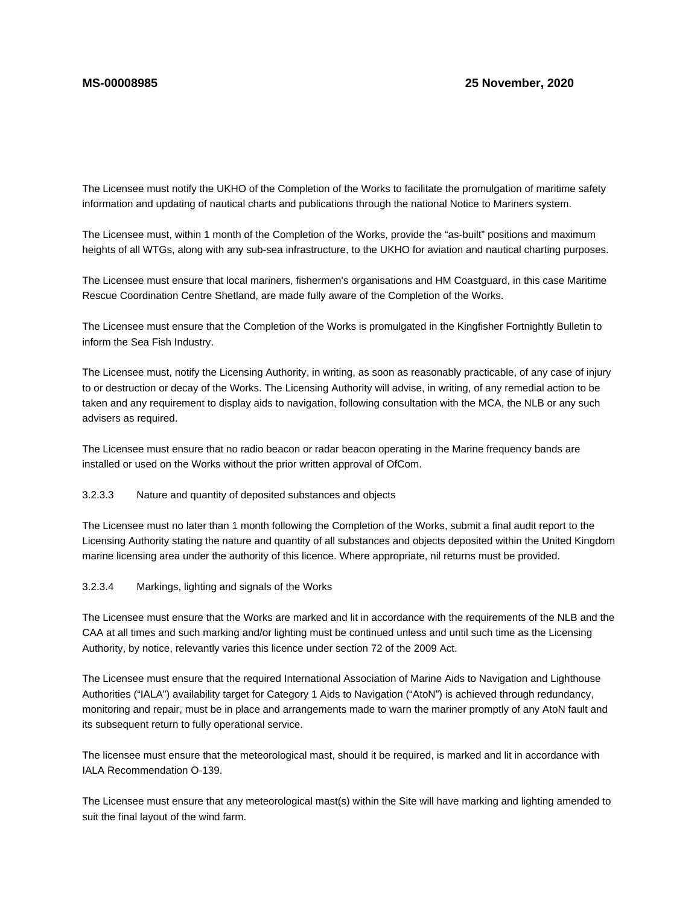The Licensee must notify the UKHO of the Completion of the Works to facilitate the promulgation of maritime safety information and updating of nautical charts and publications through the national Notice to Mariners system.

The Licensee must, within 1 month of the Completion of the Works, provide the "as-built" positions and maximum heights of all WTGs, along with any sub-sea infrastructure, to the UKHO for aviation and nautical charting purposes.

The Licensee must ensure that local mariners, fishermen's organisations and HM Coastguard, in this case Maritime Rescue Coordination Centre Shetland, are made fully aware of the Completion of the Works.

The Licensee must ensure that the Completion of the Works is promulgated in the Kingfisher Fortnightly Bulletin to inform the Sea Fish Industry.

The Licensee must, notify the Licensing Authority, in writing, as soon as reasonably practicable, of any case of injury to or destruction or decay of the Works. The Licensing Authority will advise, in writing, of any remedial action to be taken and any requirement to display aids to navigation, following consultation with the MCA, the NLB or any such advisers as required.

The Licensee must ensure that no radio beacon or radar beacon operating in the Marine frequency bands are installed or used on the Works without the prior written approval of OfCom.

# 3.2.3.3 Nature and quantity of deposited substances and objects

The Licensee must no later than 1 month following the Completion of the Works, submit a final audit report to the Licensing Authority stating the nature and quantity of all substances and objects deposited within the United Kingdom marine licensing area under the authority of this licence. Where appropriate, nil returns must be provided.

# 3.2.3.4 Markings, lighting and signals of the Works

The Licensee must ensure that the Works are marked and lit in accordance with the requirements of the NLB and the CAA at all times and such marking and/or lighting must be continued unless and until such time as the Licensing Authority, by notice, relevantly varies this licence under section 72 of the 2009 Act.

The Licensee must ensure that the required International Association of Marine Aids to Navigation and Lighthouse Authorities ("IALA") availability target for Category 1 Aids to Navigation ("AtoN") is achieved through redundancy, monitoring and repair, must be in place and arrangements made to warn the mariner promptly of any AtoN fault and its subsequent return to fully operational service.

The licensee must ensure that the meteorological mast, should it be required, is marked and lit in accordance with IALA Recommendation O-139.

The Licensee must ensure that any meteorological mast(s) within the Site will have marking and lighting amended to suit the final layout of the wind farm.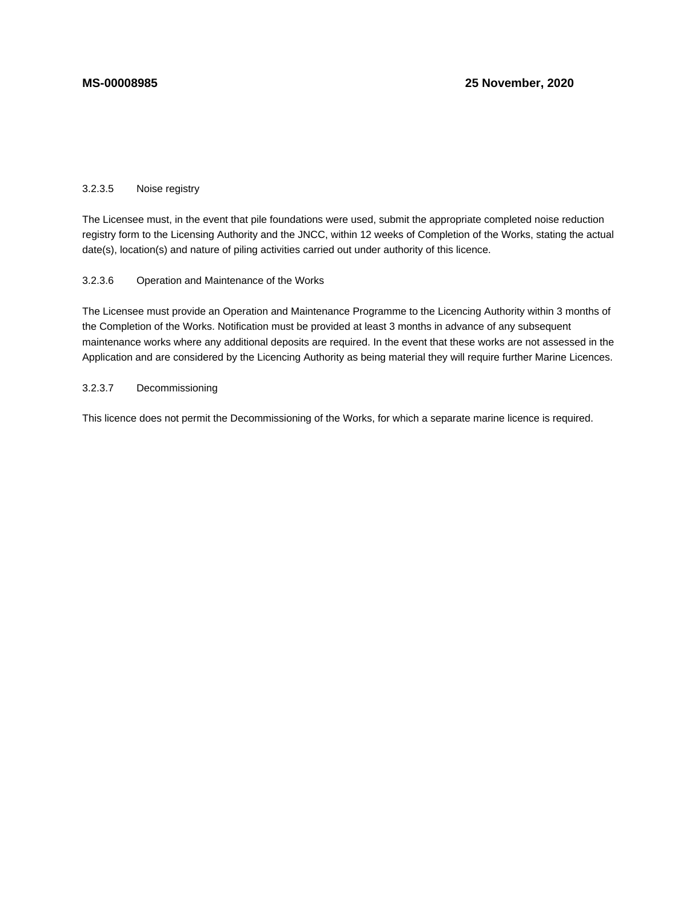# 3.2.3.5 Noise registry

The Licensee must, in the event that pile foundations were used, submit the appropriate completed noise reduction registry form to the Licensing Authority and the JNCC, within 12 weeks of Completion of the Works, stating the actual date(s), location(s) and nature of piling activities carried out under authority of this licence.

### 3.2.3.6 Operation and Maintenance of the Works

The Licensee must provide an Operation and Maintenance Programme to the Licencing Authority within 3 months of the Completion of the Works. Notification must be provided at least 3 months in advance of any subsequent maintenance works where any additional deposits are required. In the event that these works are not assessed in the Application and are considered by the Licencing Authority as being material they will require further Marine Licences.

# 3.2.3.7 Decommissioning

This licence does not permit the Decommissioning of the Works, for which a separate marine licence is required.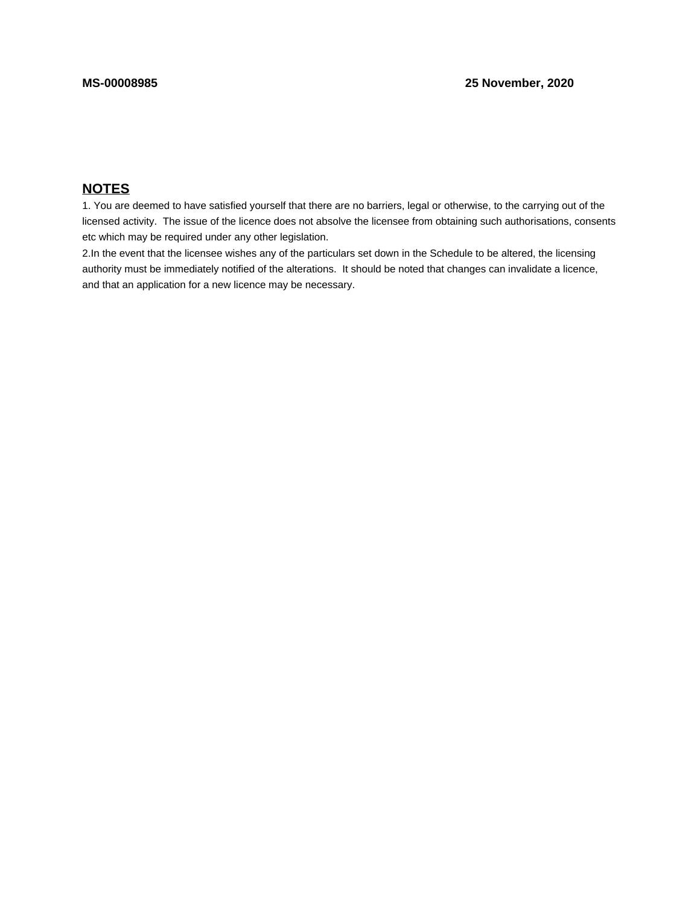# **NOTES**

1. You are deemed to have satisfied yourself that there are no barriers, legal or otherwise, to the carrying out of the licensed activity. The issue of the licence does not absolve the licensee from obtaining such authorisations, consents etc which may be required under any other legislation.

2.In the event that the licensee wishes any of the particulars set down in the Schedule to be altered, the licensing authority must be immediately notified of the alterations. It should be noted that changes can invalidate a licence, and that an application for a new licence may be necessary.